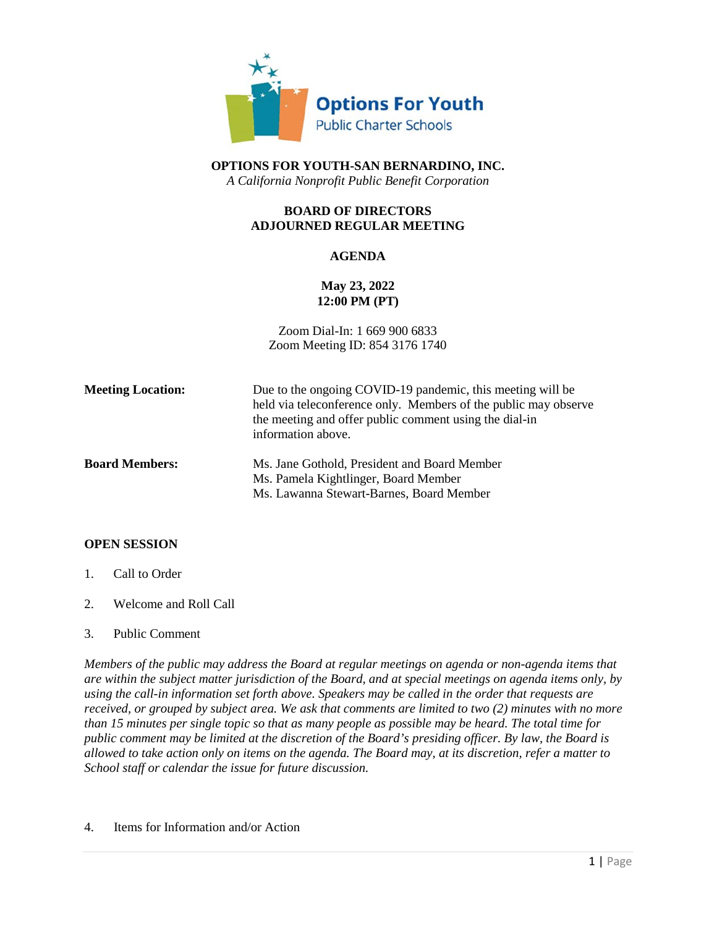

**OPTIONS FOR YOUTH-SAN BERNARDINO, INC.** *A California Nonprofit Public Benefit Corporation*

# **BOARD OF DIRECTORS ADJOURNED REGULAR MEETING**

### **AGENDA**

# **May 23, 2022 12:00 PM (PT)**

Zoom Dial-In: 1 669 900 6833 Zoom Meeting ID: 854 3176 1740

| <b>Meeting Location:</b> | Due to the ongoing COVID-19 pandemic, this meeting will be<br>held via teleconference only. Members of the public may observe<br>the meeting and offer public comment using the dial-in<br>information above. |
|--------------------------|---------------------------------------------------------------------------------------------------------------------------------------------------------------------------------------------------------------|
| <b>Board Members:</b>    | Ms. Jane Gothold, President and Board Member<br>Ms. Pamela Kightlinger, Board Member<br>Ms. Lawanna Stewart-Barnes, Board Member                                                                              |

#### **OPEN SESSION**

- 1. Call to Order
- 2. Welcome and Roll Call
- 3. Public Comment

*Members of the public may address the Board at regular meetings on agenda or non-agenda items that are within the subject matter jurisdiction of the Board, and at special meetings on agenda items only, by using the call-in information set forth above. Speakers may be called in the order that requests are received, or grouped by subject area. We ask that comments are limited to two (2) minutes with no more than 15 minutes per single topic so that as many people as possible may be heard. The total time for public comment may be limited at the discretion of the Board's presiding officer. By law, the Board is allowed to take action only on items on the agenda. The Board may, at its discretion, refer a matter to School staff or calendar the issue for future discussion.*

4. Items for Information and/or Action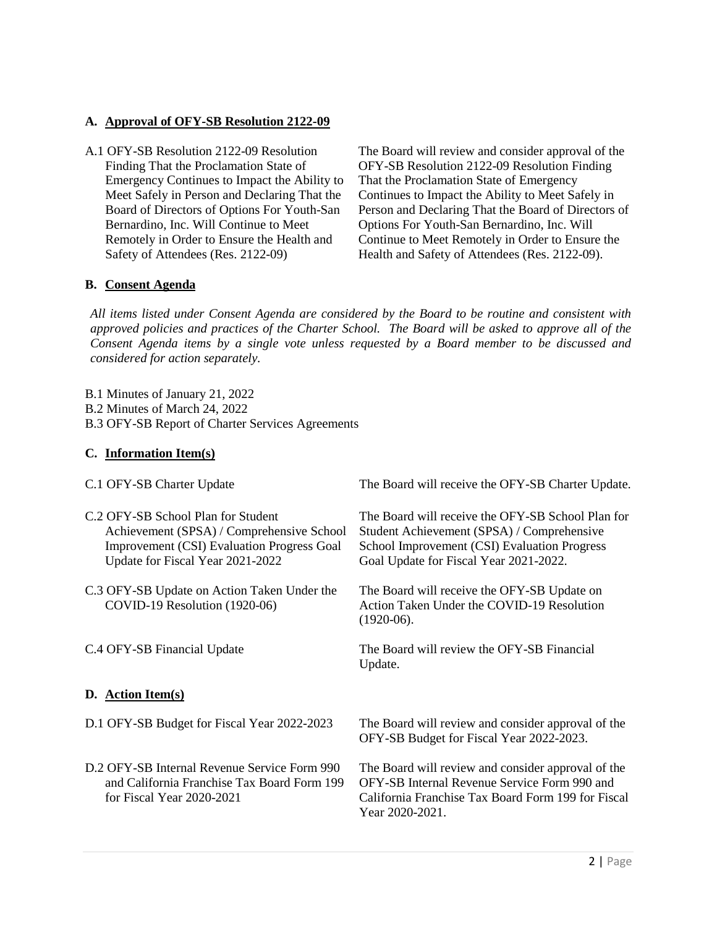### **A. Approval of OFY-SB Resolution 2122-09**

A.1 OFY-SB Resolution 2122-09 Resolution Finding That the Proclamation State of Emergency Continues to Impact the Ability to Meet Safely in Person and Declaring That the Board of Directors of Options For Youth-San Bernardino, Inc. Will Continue to Meet Remotely in Order to Ensure the Health and Safety of Attendees (Res. 2122-09)

The Board will review and consider approval of the OFY-SB Resolution 2122-09 Resolution Finding That the Proclamation State of Emergency Continues to Impact the Ability to Meet Safely in Person and Declaring That the Board of Directors of Options For Youth-San Bernardino, Inc. Will Continue to Meet Remotely in Order to Ensure the Health and Safety of Attendees (Res. 2122-09).

### **B. Consent Agenda**

*All items listed under Consent Agenda are considered by the Board to be routine and consistent with approved policies and practices of the Charter School. The Board will be asked to approve all of the Consent Agenda items by a single vote unless requested by a Board member to be discussed and considered for action separately.*

B.1 Minutes of January 21, 2022 B.2 Minutes of March 24, 2022 B.3 OFY-SB Report of Charter Services Agreements

### **C. Information Item(s)**

| C.1 OFY-SB Charter Update                                                                                                                                                | The Board will receive the OFY-SB Charter Update.                                                                                                                                         |
|--------------------------------------------------------------------------------------------------------------------------------------------------------------------------|-------------------------------------------------------------------------------------------------------------------------------------------------------------------------------------------|
| C.2 OFY-SB School Plan for Student<br>Achievement (SPSA) / Comprehensive School<br><b>Improvement (CSI)</b> Evaluation Progress Goal<br>Update for Fiscal Year 2021-2022 | The Board will receive the OFY-SB School Plan for<br>Student Achievement (SPSA) / Comprehensive<br>School Improvement (CSI) Evaluation Progress<br>Goal Update for Fiscal Year 2021-2022. |
| C.3 OFY-SB Update on Action Taken Under the<br>COVID-19 Resolution (1920-06)                                                                                             | The Board will receive the OFY-SB Update on<br>Action Taken Under the COVID-19 Resolution<br>$(1920-06).$                                                                                 |
| C.4 OFY-SB Financial Update                                                                                                                                              | The Board will review the OFY-SB Financial<br>Update.                                                                                                                                     |
| D. Action Item(s)                                                                                                                                                        |                                                                                                                                                                                           |
| D.1 OFY-SB Budget for Fiscal Year 2022-2023                                                                                                                              | The Board will review and consider approval of the<br>OFY-SB Budget for Fiscal Year 2022-2023.                                                                                            |
| D.2 OFY-SB Internal Revenue Service Form 990<br>and California Franchise Tax Board Form 199<br>for Fiscal Year 2020-2021                                                 | The Board will review and consider approval of the<br>OFY-SB Internal Revenue Service Form 990 and<br>California Franchise Tax Board Form 199 for Fiscal<br>Year 2020-2021.               |